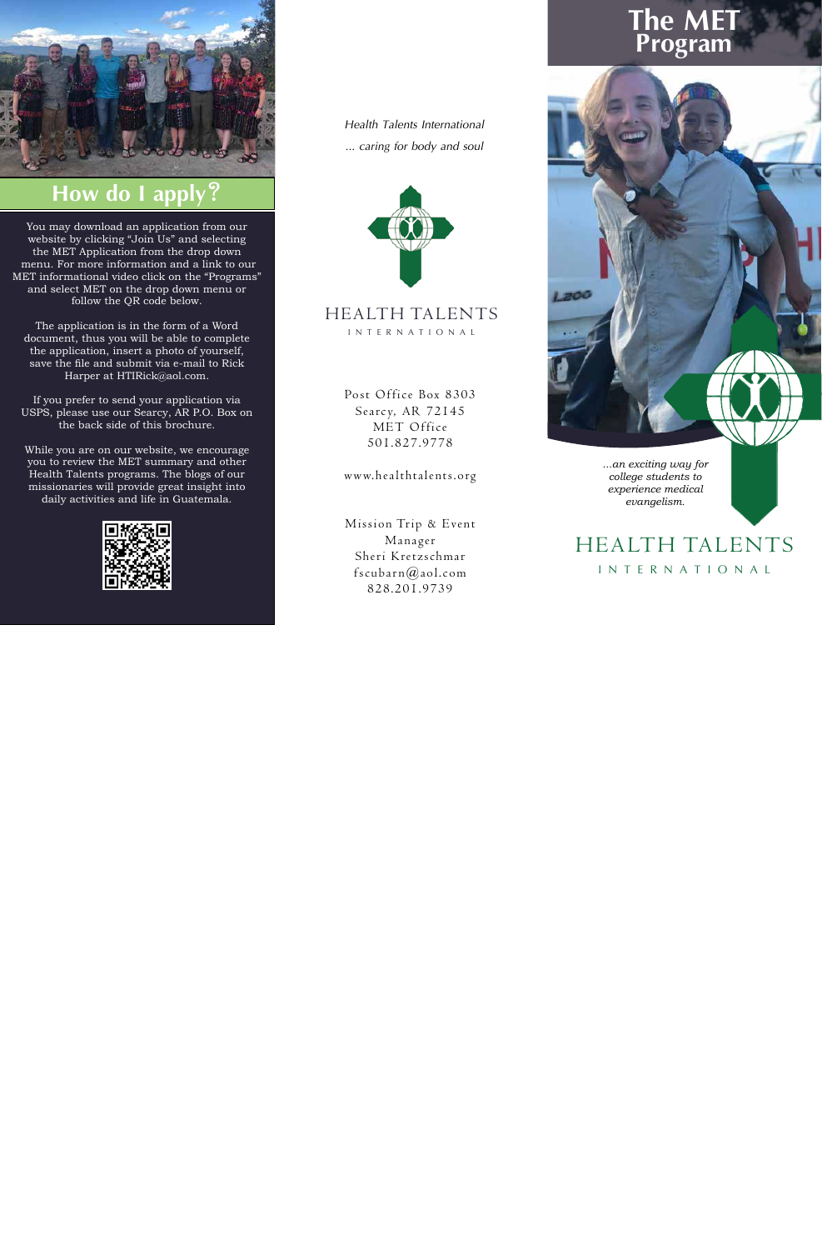*...an exciting way for college students to experience medical evangelism.*

HEALTH TALENTS I N T ERN ATIO N A L

#### HEALTH TALENTS I N T ERN ATIO N A L

You may download an application from our website by clicking "Join Us" and selecting the MET Application from the drop down menu. For more information and a link to our MET informational video click on the "Programs" and select MET on the drop down menu or follow the QR code below.

The application is in the form of a Word document, thus you will be able to complete the application, insert a photo of yourself, save the file and submit via e-mail to Rick Harper at HTIRick@aol.com.

If you prefer to send your application via USPS, please use our Searcy, AR P.O. Box on the back side of this brochure.

While you are on our website, we encourage you to review the MET summary and other Health Talents programs. The blogs of our missionaries will provide great insight into daily activities and life in Guatemala.



# **The MET Program**



Post Office Box 8303 Searcy, AR 72145 MET Office 501.827.9778

www.healthtalents.org

Mission Trip & Event Manager Sheri Kretzschmar fscubarn $@$ aol.com 828.201.9739

*Health Talents International ... caring for body and soul*





## **How do I apply?**